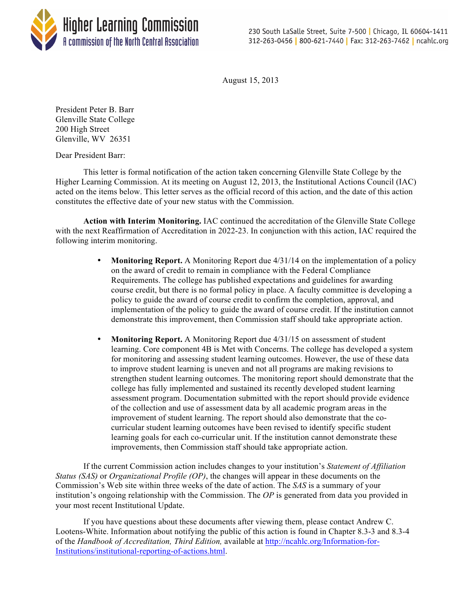

August 15, 2013

President Peter B. Barr Glenville State College 200 High Street Glenville, WV 26351

Dear President Barr:

This letter is formal notification of the action taken concerning Glenville State College by the Higher Learning Commission. At its meeting on August 12, 2013, the Institutional Actions Council (IAC) acted on the items below. This letter serves as the official record of this action, and the date of this action constitutes the effective date of your new status with the Commission.

**Action with Interim Monitoring.** IAC continued the accreditation of the Glenville State College with the next Reaffirmation of Accreditation in 2022-23. In conjunction with this action, IAC required the following interim monitoring.

- **Monitoring Report.** A Monitoring Report due 4/31/14 on the implementation of a policy on the award of credit to remain in compliance with the Federal Compliance Requirements. The college has published expectations and guidelines for awarding course credit, but there is no formal policy in place. A faculty committee is developing a policy to guide the award of course credit to confirm the completion, approval, and implementation of the policy to guide the award of course credit. If the institution cannot demonstrate this improvement, then Commission staff should take appropriate action.
- **Monitoring Report.** A Monitoring Report due 4/31/15 on assessment of student learning. Core component 4B is Met with Concerns. The college has developed a system for monitoring and assessing student learning outcomes. However, the use of these data to improve student learning is uneven and not all programs are making revisions to strengthen student learning outcomes. The monitoring report should demonstrate that the college has fully implemented and sustained its recently developed student learning assessment program. Documentation submitted with the report should provide evidence of the collection and use of assessment data by all academic program areas in the improvement of student learning. The report should also demonstrate that the cocurricular student learning outcomes have been revised to identify specific student learning goals for each co-curricular unit. If the institution cannot demonstrate these improvements, then Commission staff should take appropriate action.

If the current Commission action includes changes to your institution's *Statement of Affiliation Status (SAS)* or *Organizational Profile (OP)*, the changes will appear in these documents on the Commission's Web site within three weeks of the date of action. The *SAS* is a summary of your institution's ongoing relationship with the Commission. The *OP* is generated from data you provided in your most recent Institutional Update.

If you have questions about these documents after viewing them, please contact Andrew C. Lootens-White. Information about notifying the public of this action is found in Chapter 8.3-3 and 8.3-4 of the *Handbook of Accreditation, Third Edition,* available at http://ncahlc.org/Information-for-Institutions/institutional-reporting-of-actions.html.